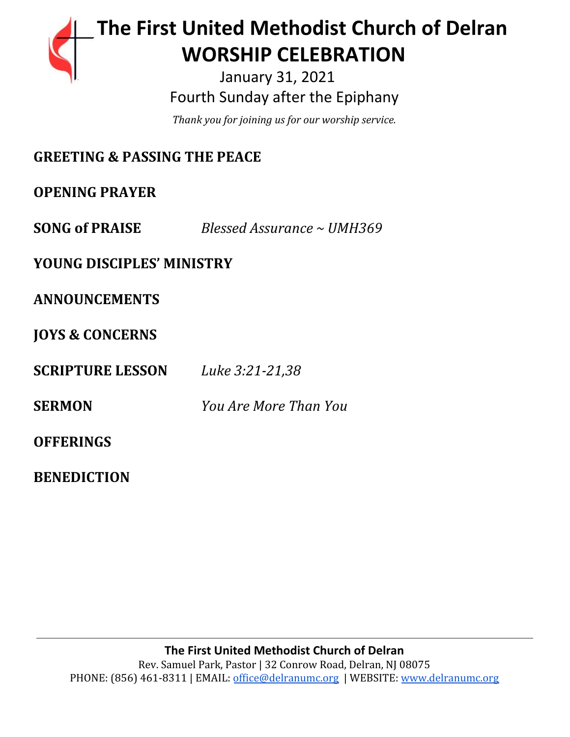# **The First United Methodist Church of Delran** …… … **WORSHIP CELEBRATION**

 January 31, 2021 Fourth Sunday after the Epiphany

*Thank you for joining us for our worship service.*

| <b>GREETING &amp; PASSING THE PEACE</b> |                            |
|-----------------------------------------|----------------------------|
| <b>OPENING PRAYER</b>                   |                            |
| <b>SONG of PRAISE</b>                   | Blessed Assurance ~ UMH369 |
| <b>YOUNG DISCIPLES' MINISTRY</b>        |                            |
| <b>ANNOUNCEMENTS</b>                    |                            |
| <b>JOYS &amp; CONCERNS</b>              |                            |
| <b>SCRIPTURE LESSON</b>                 | Luke 3:21-21,38            |
| <b>SERMON</b>                           | You Are More Than You      |
| <b>OFFERINGS</b>                        |                            |
| <b>BENEDICTION</b>                      |                            |

**The First United Methodist Church of Delran** Rev. Samuel Park, Pastor | 32 Conrow Road, Delran, NJ 08075 PHONE: (856) 461-8311 | EMAIL: [office@delranumc.org](mailto:office@delranumc.org) | WEBSITE: [www.delranumc.org](http://www.delranumc.org/)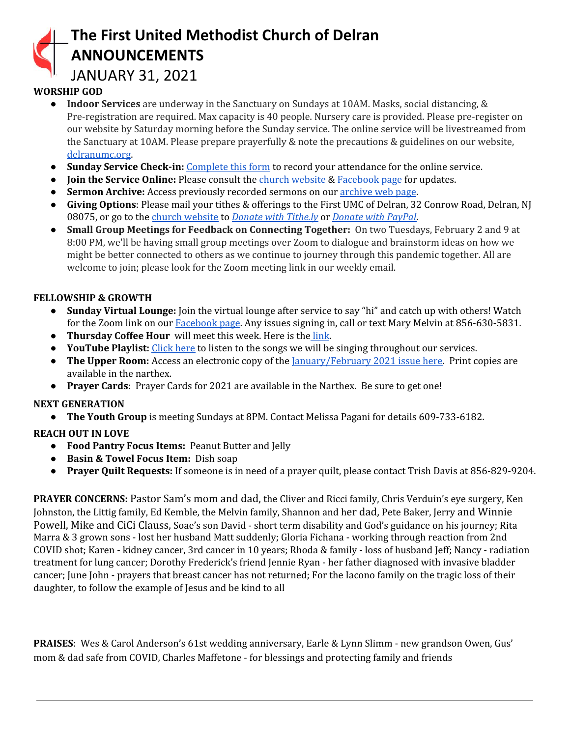## **The First United Methodist Church of Delran ANNOUNCEMENTS**

### JANUARY 31, 2021

#### **WORSHIP GOD**

- **Indoor Services** are underway in the Sanctuary on Sundays at 10AM. Masks, social distancing, & Pre-registration are required. Max capacity is 40 people. Nursery care is provided. Please pre-register on our website by Saturday morning before the Sunday service. The online service will be livestreamed from the Sanctuary at 10AM. Please prepare prayerfully & note the precautions & guidelines on our website, [delranumc.org](http://www.delranumc.org/).
- **Sunday Service Check-in:** [Complete](https://forms.gle/7zjnnfdpTjKiidYV8) this form to record your attendance for the online service.
- **Join the Service Online:** Please consult the *church [website](http://www.delranumc.org/) & [Facebook](https://www.facebook.com/FirstUnitedMethodistChurch.Delran) page* for updates.
- **Sermon Archive:** Access previously recorded sermons on our [archive](https://office2128.wixsite.com/firstumcdelran/weekly-sermons) web page.
- **Giving Options**: Please mail your tithes & offerings to the First UMC of Delran, 32 Conrow Road, Delran, NJ 08075, or go to the church [website](http://www.delranumc.org/) to *Donate with [Tithe.ly](https://tithe.ly/give?c=1379451)* or *[Donate](https://www.paypal.com/donate/?token=JgyQQyCzJSzuWb-4M_kVuUa8ORCkKdbhPebT-DwrySzFpiafxE6LsZCirp50sAsR0jT_60&country.x=US&locale.x=) with PayPal*.
- **Small Group Meetings for Feedback on Connecting Together:** On two Tuesdays, February 2 and 9 at 8:00 PM, we'll be having small group meetings over Zoom to dialogue and brainstorm ideas on how we might be better connected to others as we continue to journey through this pandemic together. All are welcome to join; please look for the Zoom meeting link in our weekly email.

#### **FELLOWSHIP & GROWTH**

- **● Sunday Virtual Lounge:** Join the virtual lounge after service to say "hi" and catch up with others! Watch for the Zoom link on our [Facebook](https://www.facebook.com/FirstUnitedMethodistChurch.Delran) page. Any issues signing in, call or text Mary Melvin at 856-630-5831.
- **Thursday Coffee Hour** will meet this week. Here is the [link](https://us02web.zoom.us/j/89774372219?pwd=aWY5Y2lUTldneFhBTzVTVEJLajJCZz09).
- **● YouTube Playlist:** [Click](https://www.youtube.com/watch?v=lJJQjFnX0nk&list=PL76HlEzH6SKYV7jHyH7qBV7M1G3TK8-OK) here to listen to the songs we will be singing throughout our services.
- **The Upper Room:** Access an electronic copy of the [January/February](https://6c27f891-75dc-4220-b2ea-acb893f4c6cd.filesusr.com/ugd/78659a_dc9482aa6fa14478bbc46ab27e9367c5.pdf) 2021 issue here. Print copies are available in the narthex.
- **Prayer Cards**: Prayer Cards for 2021 are available in the Narthex. Be sure to get one!

#### **NEXT GENERATION**

**● The Youth Group** is meeting Sundays at 8PM. Contact Melissa Pagani for details 609-733-6182.

#### **REACH OUT IN LOVE**

- **Food Pantry Focus Items:** Peanut Butter and Jelly
- **Basin & Towel Focus Item:** Dish soap
- **Prayer Quilt Requests:** If someone is in need of a prayer quilt, please contact Trish Davis at 856-829-9204.

**PRAYER CONCERNS:** Pastor Sam's mom and dad, the Cliver and Ricci family, Chris Verduin's eye surgery, Ken Johnston, the Littig family, Ed Kemble, the Melvin family, Shannon and her dad, Pete Baker, Jerry and Winnie Powell, Mike and CiCi Clauss, Soae's son David - short term disability and God's guidance on his journey; Rita Marra & 3 grown sons - lost her husband Matt suddenly; Gloria Fichana - working through reaction from 2nd COVID shot; Karen - kidney cancer, 3rd cancer in 10 years; Rhoda & family - loss of husband Jeff; Nancy - radiation treatment for lung cancer; Dorothy Frederick's friend Jennie Ryan - her father diagnosed with invasive bladder cancer; June John - prayers that breast cancer has not returned; For the Iacono family on the tragic loss of their daughter, to follow the example of Jesus and be kind to all

**PRAISES**: Wes & Carol Anderson's 61st wedding anniversary, Earle & Lynn Slimm - new grandson Owen, Gus' mom & dad safe from COVID, Charles Maffetone - for blessings and protecting family and friends